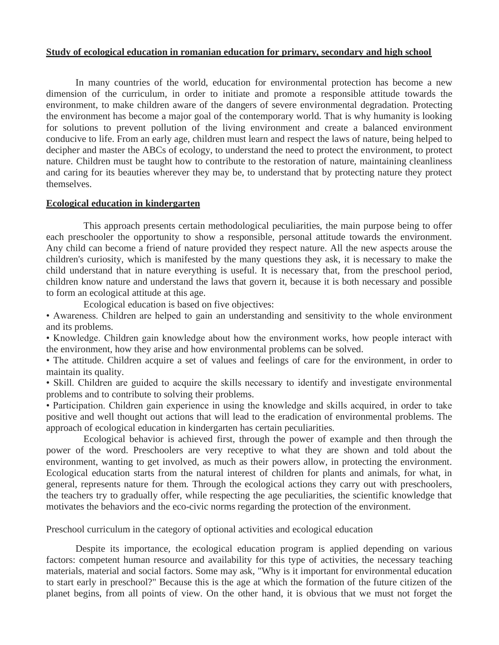#### **Study of ecological education in romanian education for primary, secondary and high school**

In many countries of the world, education for environmental protection has become a new dimension of the curriculum, in order to initiate and promote a responsible attitude towards the environment, to make children aware of the dangers of severe environmental degradation. Protecting the environment has become a major goal of the contemporary world. That is why humanity is looking for solutions to prevent pollution of the living environment and create a balanced environment conducive to life. From an early age, children must learn and respect the laws of nature, being helped to decipher and master the ABCs of ecology, to understand the need to protect the environment, to protect nature. Children must be taught how to contribute to the restoration of nature, maintaining cleanliness and caring for its beauties wherever they may be, to understand that by protecting nature they protect themselves.

#### **Ecological education in kindergarten**

This approach presents certain methodological peculiarities, the main purpose being to offer each preschooler the opportunity to show a responsible, personal attitude towards the environment. Any child can become a friend of nature provided they respect nature. All the new aspects arouse the children's curiosity, which is manifested by the many questions they ask, it is necessary to make the child understand that in nature everything is useful. It is necessary that, from the preschool period, children know nature and understand the laws that govern it, because it is both necessary and possible to form an ecological attitude at this age.

Ecological education is based on five objectives:

• Awareness. Children are helped to gain an understanding and sensitivity to the whole environment and its problems.

• Knowledge. Children gain knowledge about how the environment works, how people interact with the environment, how they arise and how environmental problems can be solved.

• The attitude. Children acquire a set of values and feelings of care for the environment, in order to maintain its quality.

• Skill. Children are guided to acquire the skills necessary to identify and investigate environmental problems and to contribute to solving their problems.

• Participation. Children gain experience in using the knowledge and skills acquired, in order to take positive and well thought out actions that will lead to the eradication of environmental problems. The approach of ecological education in kindergarten has certain peculiarities.

Ecological behavior is achieved first, through the power of example and then through the power of the word. Preschoolers are very receptive to what they are shown and told about the environment, wanting to get involved, as much as their powers allow, in protecting the environment. Ecological education starts from the natural interest of children for plants and animals, for what, in general, represents nature for them. Through the ecological actions they carry out with preschoolers, the teachers try to gradually offer, while respecting the age peculiarities, the scientific knowledge that motivates the behaviors and the eco-civic norms regarding the protection of the environment.

Preschool curriculum in the category of optional activities and ecological education

Despite its importance, the ecological education program is applied depending on various factors: competent human resource and availability for this type of activities, the necessary teaching materials, material and social factors. Some may ask, "Why is it important for environmental education to start early in preschool?" Because this is the age at which the formation of the future citizen of the planet begins, from all points of view. On the other hand, it is obvious that we must not forget the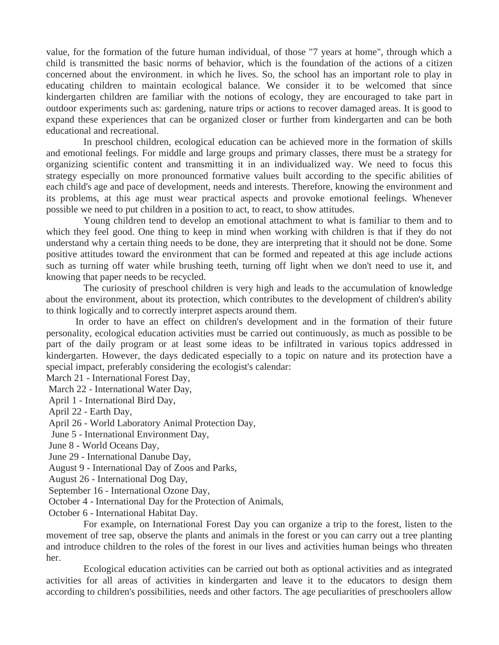value, for the formation of the future human individual, of those "7 years at home", through which a child is transmitted the basic norms of behavior, which is the foundation of the actions of a citizen concerned about the environment. in which he lives. So, the school has an important role to play in educating children to maintain ecological balance. We consider it to be welcomed that since kindergarten children are familiar with the notions of ecology, they are encouraged to take part in outdoor experiments such as: gardening, nature trips or actions to recover damaged areas. It is good to expand these experiences that can be organized closer or further from kindergarten and can be both educational and recreational.

In preschool children, ecological education can be achieved more in the formation of skills and emotional feelings. For middle and large groups and primary classes, there must be a strategy for organizing scientific content and transmitting it in an individualized way. We need to focus this strategy especially on more pronounced formative values built according to the specific abilities of each child's age and pace of development, needs and interests. Therefore, knowing the environment and its problems, at this age must wear practical aspects and provoke emotional feelings. Whenever possible we need to put children in a position to act, to react, to show attitudes.

Young children tend to develop an emotional attachment to what is familiar to them and to which they feel good. One thing to keep in mind when working with children is that if they do not understand why a certain thing needs to be done, they are interpreting that it should not be done. Some positive attitudes toward the environment that can be formed and repeated at this age include actions such as turning off water while brushing teeth, turning off light when we don't need to use it, and knowing that paper needs to be recycled.

The curiosity of preschool children is very high and leads to the accumulation of knowledge about the environment, about its protection, which contributes to the development of children's ability to think logically and to correctly interpret aspects around them.

In order to have an effect on children's development and in the formation of their future personality, ecological education activities must be carried out continuously, as much as possible to be part of the daily program or at least some ideas to be infiltrated in various topics addressed in kindergarten. However, the days dedicated especially to a topic on nature and its protection have a special impact, preferably considering the ecologist's calendar:

March 21 - International Forest Day,

March 22 - International Water Day,

April 1 - International Bird Day,

April 22 - Earth Day,

April 26 - World Laboratory Animal Protection Day,

June 5 - International Environment Day,

- June 8 World Oceans Day,
- June 29 International Danube Day,
- August 9 International Day of Zoos and Parks,

August 26 - International Dog Day,

September 16 - International Ozone Day,

October 4 - International Day for the Protection of Animals,

October 6 - International Habitat Day.

For example, on International Forest Day you can organize a trip to the forest, listen to the movement of tree sap, observe the plants and animals in the forest or you can carry out a tree planting and introduce children to the roles of the forest in our lives and activities human beings who threaten her.

Ecological education activities can be carried out both as optional activities and as integrated activities for all areas of activities in kindergarten and leave it to the educators to design them according to children's possibilities, needs and other factors. The age peculiarities of preschoolers allow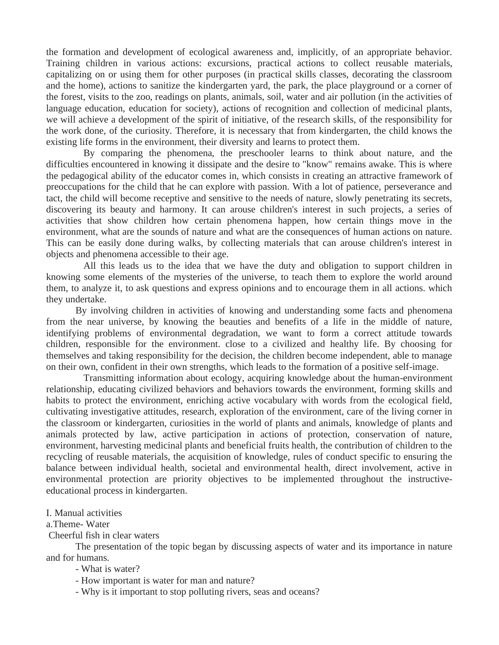the formation and development of ecological awareness and, implicitly, of an appropriate behavior. Training children in various actions: excursions, practical actions to collect reusable materials, capitalizing on or using them for other purposes (in practical skills classes, decorating the classroom and the home), actions to sanitize the kindergarten yard, the park, the place playground or a corner of the forest, visits to the zoo, readings on plants, animals, soil, water and air pollution (in the activities of language education, education for society), actions of recognition and collection of medicinal plants, we will achieve a development of the spirit of initiative, of the research skills, of the responsibility for the work done, of the curiosity. Therefore, it is necessary that from kindergarten, the child knows the existing life forms in the environment, their diversity and learns to protect them.

By comparing the phenomena, the preschooler learns to think about nature, and the difficulties encountered in knowing it dissipate and the desire to "know" remains awake. This is where the pedagogical ability of the educator comes in, which consists in creating an attractive framework of preoccupations for the child that he can explore with passion. With a lot of patience, perseverance and tact, the child will become receptive and sensitive to the needs of nature, slowly penetrating its secrets, discovering its beauty and harmony. It can arouse children's interest in such projects, a series of activities that show children how certain phenomena happen, how certain things move in the environment, what are the sounds of nature and what are the consequences of human actions on nature. This can be easily done during walks, by collecting materials that can arouse children's interest in objects and phenomena accessible to their age.

All this leads us to the idea that we have the duty and obligation to support children in knowing some elements of the mysteries of the universe, to teach them to explore the world around them, to analyze it, to ask questions and express opinions and to encourage them in all actions. which they undertake.

By involving children in activities of knowing and understanding some facts and phenomena from the near universe, by knowing the beauties and benefits of a life in the middle of nature, identifying problems of environmental degradation, we want to form a correct attitude towards children, responsible for the environment. close to a civilized and healthy life. By choosing for themselves and taking responsibility for the decision, the children become independent, able to manage on their own, confident in their own strengths, which leads to the formation of a positive self-image.

Transmitting information about ecology, acquiring knowledge about the human-environment relationship, educating civilized behaviors and behaviors towards the environment, forming skills and habits to protect the environment, enriching active vocabulary with words from the ecological field, cultivating investigative attitudes, research, exploration of the environment, care of the living corner in the classroom or kindergarten, curiosities in the world of plants and animals, knowledge of plants and animals protected by law, active participation in actions of protection, conservation of nature, environment, harvesting medicinal plants and beneficial fruits health, the contribution of children to the recycling of reusable materials, the acquisition of knowledge, rules of conduct specific to ensuring the balance between individual health, societal and environmental health, direct involvement, active in environmental protection are priority objectives to be implemented throughout the instructiveeducational process in kindergarten.

#### I. Manual activities

#### a.Theme- Water

Cheerful fish in clear waters

The presentation of the topic began by discussing aspects of water and its importance in nature and for humans.

- What is water?
- How important is water for man and nature?
- Why is it important to stop polluting rivers, seas and oceans?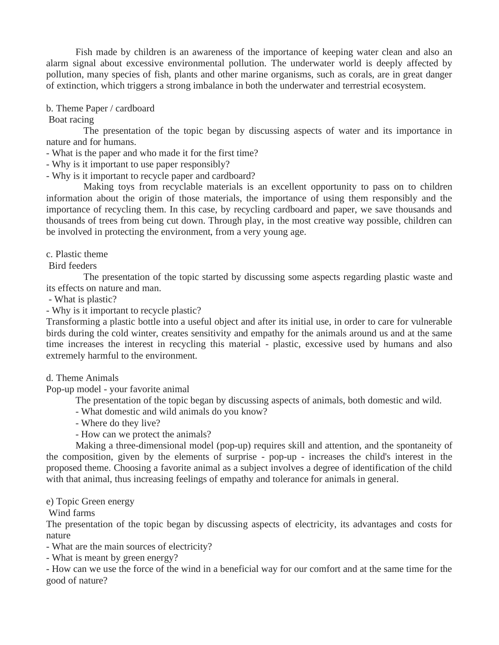Fish made by children is an awareness of the importance of keeping water clean and also an alarm signal about excessive environmental pollution. The underwater world is deeply affected by pollution, many species of fish, plants and other marine organisms, such as corals, are in great danger of extinction, which triggers a strong imbalance in both the underwater and terrestrial ecosystem.

## b. Theme Paper / cardboard

Boat racing

The presentation of the topic began by discussing aspects of water and its importance in nature and for humans.

- What is the paper and who made it for the first time?

- Why is it important to use paper responsibly?

- Why is it important to recycle paper and cardboard?

Making toys from recyclable materials is an excellent opportunity to pass on to children information about the origin of those materials, the importance of using them responsibly and the importance of recycling them. In this case, by recycling cardboard and paper, we save thousands and thousands of trees from being cut down. Through play, in the most creative way possible, children can be involved in protecting the environment, from a very young age.

c. Plastic theme

Bird feeders

The presentation of the topic started by discussing some aspects regarding plastic waste and its effects on nature and man.

- What is plastic?

- Why is it important to recycle plastic?

Transforming a plastic bottle into a useful object and after its initial use, in order to care for vulnerable birds during the cold winter, creates sensitivity and empathy for the animals around us and at the same time increases the interest in recycling this material - plastic, excessive used by humans and also extremely harmful to the environment.

d. Theme Animals

Pop-up model - your favorite animal

The presentation of the topic began by discussing aspects of animals, both domestic and wild.

- What domestic and wild animals do you know?

- Where do they live?

- How can we protect the animals?

Making a three-dimensional model (pop-up) requires skill and attention, and the spontaneity of the composition, given by the elements of surprise - pop-up - increases the child's interest in the proposed theme. Choosing a favorite animal as a subject involves a degree of identification of the child with that animal, thus increasing feelings of empathy and tolerance for animals in general.

## e) Topic Green energy

Wind farms

The presentation of the topic began by discussing aspects of electricity, its advantages and costs for nature

- What are the main sources of electricity?

- What is meant by green energy?

- How can we use the force of the wind in a beneficial way for our comfort and at the same time for the good of nature?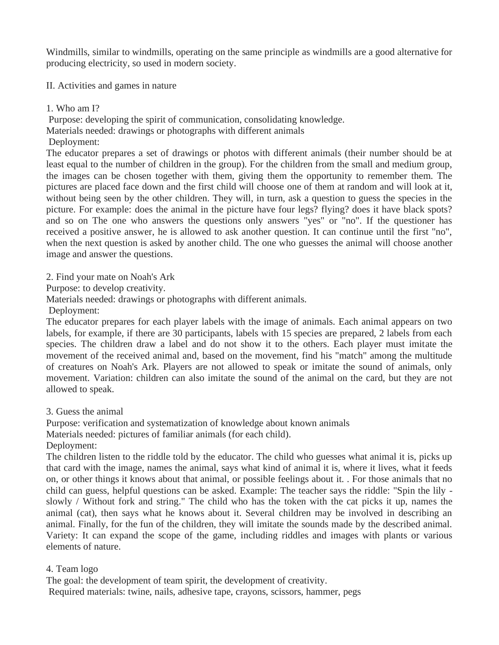Windmills, similar to windmills, operating on the same principle as windmills are a good alternative for producing electricity, so used in modern society.

II. Activities and games in nature

1. Who am I?

Purpose: developing the spirit of communication, consolidating knowledge.

- Materials needed: drawings or photographs with different animals
- Deployment:

The educator prepares a set of drawings or photos with different animals (their number should be at least equal to the number of children in the group). For the children from the small and medium group, the images can be chosen together with them, giving them the opportunity to remember them. The pictures are placed face down and the first child will choose one of them at random and will look at it, without being seen by the other children. They will, in turn, ask a question to guess the species in the picture. For example: does the animal in the picture have four legs? flying? does it have black spots? and so on The one who answers the questions only answers "yes" or "no". If the questioner has received a positive answer, he is allowed to ask another question. It can continue until the first "no", when the next question is asked by another child. The one who guesses the animal will choose another image and answer the questions.

2. Find your mate on Noah's Ark

Purpose: to develop creativity.

Materials needed: drawings or photographs with different animals.

Deployment:

The educator prepares for each player labels with the image of animals. Each animal appears on two labels, for example, if there are 30 participants, labels with 15 species are prepared, 2 labels from each species. The children draw a label and do not show it to the others. Each player must imitate the movement of the received animal and, based on the movement, find his "match" among the multitude of creatures on Noah's Ark. Players are not allowed to speak or imitate the sound of animals, only movement. Variation: children can also imitate the sound of the animal on the card, but they are not allowed to speak.

3. Guess the animal

Purpose: verification and systematization of knowledge about known animals

Materials needed: pictures of familiar animals (for each child).

Deployment:

The children listen to the riddle told by the educator. The child who guesses what animal it is, picks up that card with the image, names the animal, says what kind of animal it is, where it lives, what it feeds on, or other things it knows about that animal, or possible feelings about it. . For those animals that no child can guess, helpful questions can be asked. Example: The teacher says the riddle: "Spin the lily slowly / Without fork and string." The child who has the token with the cat picks it up, names the animal (cat), then says what he knows about it. Several children may be involved in describing an animal. Finally, for the fun of the children, they will imitate the sounds made by the described animal. Variety: It can expand the scope of the game, including riddles and images with plants or various elements of nature.

# 4. Team logo

The goal: the development of team spirit, the development of creativity. Required materials: twine, nails, adhesive tape, crayons, scissors, hammer, pegs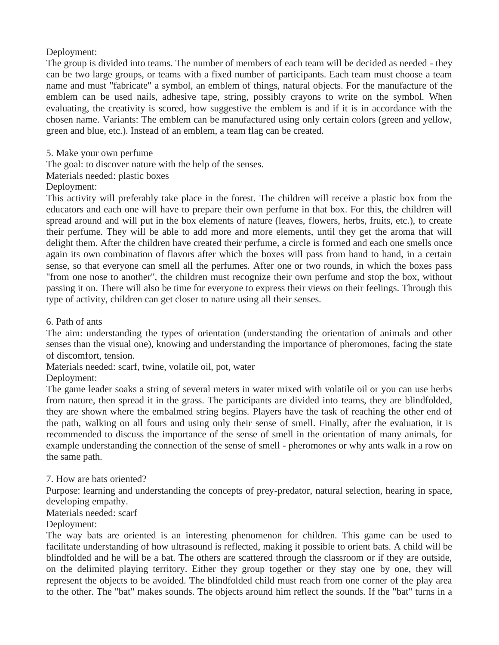Deployment:

The group is divided into teams. The number of members of each team will be decided as needed - they can be two large groups, or teams with a fixed number of participants. Each team must choose a team name and must "fabricate" a symbol, an emblem of things, natural objects. For the manufacture of the emblem can be used nails, adhesive tape, string, possibly crayons to write on the symbol. When evaluating, the creativity is scored, how suggestive the emblem is and if it is in accordance with the chosen name. Variants: The emblem can be manufactured using only certain colors (green and yellow, green and blue, etc.). Instead of an emblem, a team flag can be created.

5. Make your own perfume

The goal: to discover nature with the help of the senses.

Materials needed: plastic boxes

Deployment:

This activity will preferably take place in the forest. The children will receive a plastic box from the educators and each one will have to prepare their own perfume in that box. For this, the children will spread around and will put in the box elements of nature (leaves, flowers, herbs, fruits, etc.), to create their perfume. They will be able to add more and more elements, until they get the aroma that will delight them. After the children have created their perfume, a circle is formed and each one smells once again its own combination of flavors after which the boxes will pass from hand to hand, in a certain sense, so that everyone can smell all the perfumes. After one or two rounds, in which the boxes pass "from one nose to another", the children must recognize their own perfume and stop the box, without passing it on. There will also be time for everyone to express their views on their feelings. Through this type of activity, children can get closer to nature using all their senses.

6. Path of ants

The aim: understanding the types of orientation (understanding the orientation of animals and other senses than the visual one), knowing and understanding the importance of pheromones, facing the state of discomfort, tension.

Materials needed: scarf, twine, volatile oil, pot, water

Deployment:

The game leader soaks a string of several meters in water mixed with volatile oil or you can use herbs from nature, then spread it in the grass. The participants are divided into teams, they are blindfolded, they are shown where the embalmed string begins. Players have the task of reaching the other end of the path, walking on all fours and using only their sense of smell. Finally, after the evaluation, it is recommended to discuss the importance of the sense of smell in the orientation of many animals, for example understanding the connection of the sense of smell - pheromones or why ants walk in a row on the same path.

## 7. How are bats oriented?

Purpose: learning and understanding the concepts of prey-predator, natural selection, hearing in space, developing empathy.

# Materials needed: scarf

Deployment:

The way bats are oriented is an interesting phenomenon for children. This game can be used to facilitate understanding of how ultrasound is reflected, making it possible to orient bats. A child will be blindfolded and he will be a bat. The others are scattered through the classroom or if they are outside, on the delimited playing territory. Either they group together or they stay one by one, they will represent the objects to be avoided. The blindfolded child must reach from one corner of the play area to the other. The "bat" makes sounds. The objects around him reflect the sounds. If the "bat" turns in a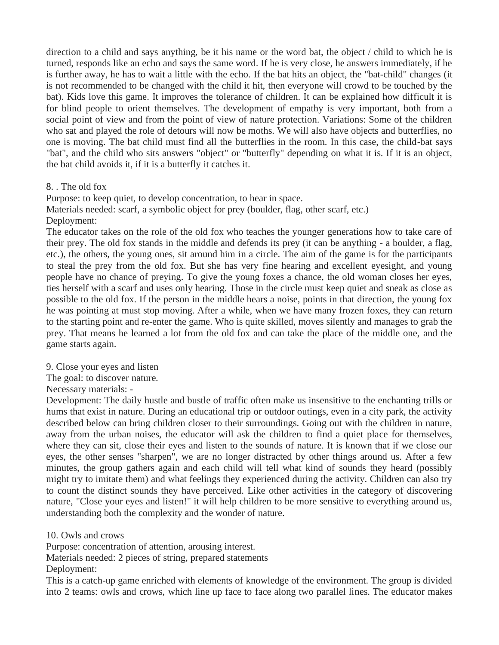direction to a child and says anything, be it his name or the word bat, the object / child to which he is turned, responds like an echo and says the same word. If he is very close, he answers immediately, if he is further away, he has to wait a little with the echo. If the bat hits an object, the "bat-child" changes (it is not recommended to be changed with the child it hit, then everyone will crowd to be touched by the bat). Kids love this game. It improves the tolerance of children. It can be explained how difficult it is for blind people to orient themselves. The development of empathy is very important, both from a social point of view and from the point of view of nature protection. Variations: Some of the children who sat and played the role of detours will now be moths. We will also have objects and butterflies, no one is moving. The bat child must find all the butterflies in the room. In this case, the child-bat says "bat", and the child who sits answers "object" or "butterfly" depending on what it is. If it is an object, the bat child avoids it, if it is a butterfly it catches it.

## 8. . The old fox

Purpose: to keep quiet, to develop concentration, to hear in space. Materials needed: scarf, a symbolic object for prey (boulder, flag, other scarf, etc.) Deployment:

The educator takes on the role of the old fox who teaches the younger generations how to take care of their prey. The old fox stands in the middle and defends its prey (it can be anything - a boulder, a flag, etc.), the others, the young ones, sit around him in a circle. The aim of the game is for the participants to steal the prey from the old fox. But she has very fine hearing and excellent eyesight, and young people have no chance of preying. To give the young foxes a chance, the old woman closes her eyes, ties herself with a scarf and uses only hearing. Those in the circle must keep quiet and sneak as close as possible to the old fox. If the person in the middle hears a noise, points in that direction, the young fox he was pointing at must stop moving. After a while, when we have many frozen foxes, they can return to the starting point and re-enter the game. Who is quite skilled, moves silently and manages to grab the prey. That means he learned a lot from the old fox and can take the place of the middle one, and the game starts again.

9. Close your eyes and listen

The goal: to discover nature.

Necessary materials: -

Development: The daily hustle and bustle of traffic often make us insensitive to the enchanting trills or hums that exist in nature. During an educational trip or outdoor outings, even in a city park, the activity described below can bring children closer to their surroundings. Going out with the children in nature, away from the urban noises, the educator will ask the children to find a quiet place for themselves, where they can sit, close their eyes and listen to the sounds of nature. It is known that if we close our eyes, the other senses "sharpen", we are no longer distracted by other things around us. After a few minutes, the group gathers again and each child will tell what kind of sounds they heard (possibly might try to imitate them) and what feelings they experienced during the activity. Children can also try to count the distinct sounds they have perceived. Like other activities in the category of discovering nature, "Close your eyes and listen!" it will help children to be more sensitive to everything around us, understanding both the complexity and the wonder of nature.

10. Owls and crows

Purpose: concentration of attention, arousing interest.

Materials needed: 2 pieces of string, prepared statements

Deployment:

This is a catch-up game enriched with elements of knowledge of the environment. The group is divided into 2 teams: owls and crows, which line up face to face along two parallel lines. The educator makes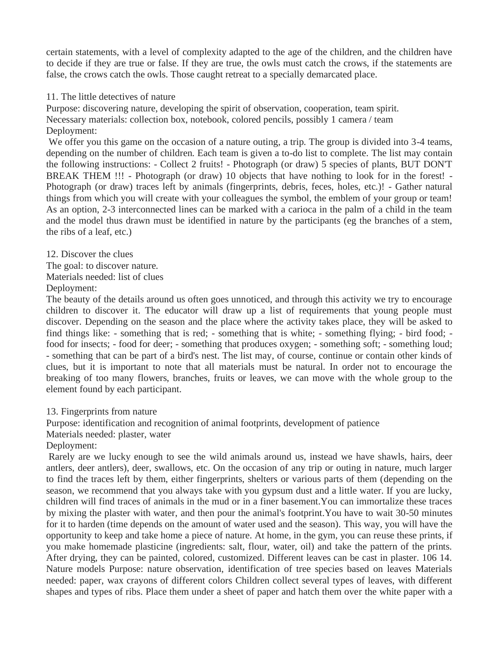certain statements, with a level of complexity adapted to the age of the children, and the children have to decide if they are true or false. If they are true, the owls must catch the crows, if the statements are false, the crows catch the owls. Those caught retreat to a specially demarcated place.

## 11. The little detectives of nature

Purpose: discovering nature, developing the spirit of observation, cooperation, team spirit. Necessary materials: collection box, notebook, colored pencils, possibly 1 camera / team Deployment:

We offer you this game on the occasion of a nature outing, a trip. The group is divided into 3-4 teams, depending on the number of children. Each team is given a to-do list to complete. The list may contain the following instructions: - Collect 2 fruits! - Photograph (or draw) 5 species of plants, BUT DON'T BREAK THEM !!! - Photograph (or draw) 10 objects that have nothing to look for in the forest! -Photograph (or draw) traces left by animals (fingerprints, debris, feces, holes, etc.)! - Gather natural things from which you will create with your colleagues the symbol, the emblem of your group or team! As an option, 2-3 interconnected lines can be marked with a carioca in the palm of a child in the team and the model thus drawn must be identified in nature by the participants (eg the branches of a stem, the ribs of a leaf, etc.)

12. Discover the clues The goal: to discover nature. Materials needed: list of clues Deployment:

The beauty of the details around us often goes unnoticed, and through this activity we try to encourage children to discover it. The educator will draw up a list of requirements that young people must discover. Depending on the season and the place where the activity takes place, they will be asked to find things like: - something that is red; - something that is white; - something flying; - bird food; food for insects; - food for deer; - something that produces oxygen; - something soft; - something loud; - something that can be part of a bird's nest. The list may, of course, continue or contain other kinds of clues, but it is important to note that all materials must be natural. In order not to encourage the breaking of too many flowers, branches, fruits or leaves, we can move with the whole group to the element found by each participant.

13. Fingerprints from nature

Purpose: identification and recognition of animal footprints, development of patience

Materials needed: plaster, water

Deployment:

Rarely are we lucky enough to see the wild animals around us, instead we have shawls, hairs, deer antlers, deer antlers), deer, swallows, etc. On the occasion of any trip or outing in nature, much larger to find the traces left by them, either fingerprints, shelters or various parts of them (depending on the season, we recommend that you always take with you gypsum dust and a little water. If you are lucky, children will find traces of animals in the mud or in a finer basement.You can immortalize these traces by mixing the plaster with water, and then pour the animal's footprint.You have to wait 30-50 minutes for it to harden (time depends on the amount of water used and the season). This way, you will have the opportunity to keep and take home a piece of nature. At home, in the gym, you can reuse these prints, if you make homemade plasticine (ingredients: salt, flour, water, oil) and take the pattern of the prints. After drying, they can be painted, colored, customized. Different leaves can be cast in plaster. 106 14. Nature models Purpose: nature observation, identification of tree species based on leaves Materials needed: paper, wax crayons of different colors Children collect several types of leaves, with different shapes and types of ribs. Place them under a sheet of paper and hatch them over the white paper with a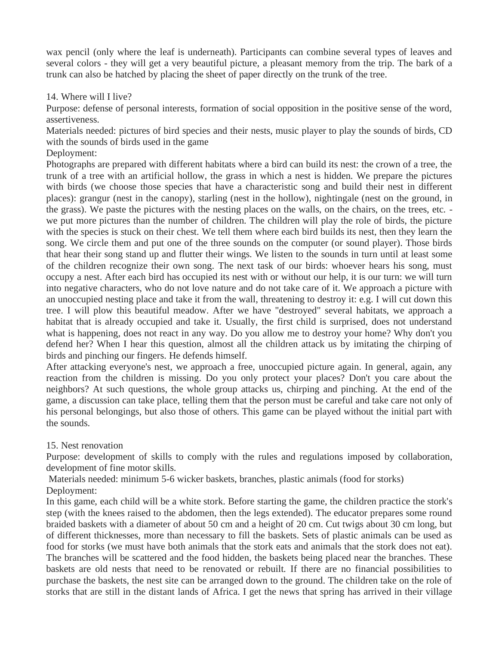wax pencil (only where the leaf is underneath). Participants can combine several types of leaves and several colors - they will get a very beautiful picture, a pleasant memory from the trip. The bark of a trunk can also be hatched by placing the sheet of paper directly on the trunk of the tree.

# 14. Where will I live?

Purpose: defense of personal interests, formation of social opposition in the positive sense of the word, assertiveness.

Materials needed: pictures of bird species and their nests, music player to play the sounds of birds, CD with the sounds of birds used in the game

Deployment:

Photographs are prepared with different habitats where a bird can build its nest: the crown of a tree, the trunk of a tree with an artificial hollow, the grass in which a nest is hidden. We prepare the pictures with birds (we choose those species that have a characteristic song and build their nest in different places): grangur (nest in the canopy), starling (nest in the hollow), nightingale (nest on the ground, in the grass). We paste the pictures with the nesting places on the walls, on the chairs, on the trees, etc. we put more pictures than the number of children. The children will play the role of birds, the picture with the species is stuck on their chest. We tell them where each bird builds its nest, then they learn the song. We circle them and put one of the three sounds on the computer (or sound player). Those birds that hear their song stand up and flutter their wings. We listen to the sounds in turn until at least some of the children recognize their own song. The next task of our birds: whoever hears his song, must occupy a nest. After each bird has occupied its nest with or without our help, it is our turn: we will turn into negative characters, who do not love nature and do not take care of it. We approach a picture with an unoccupied nesting place and take it from the wall, threatening to destroy it: e.g. I will cut down this tree. I will plow this beautiful meadow. After we have "destroyed" several habitats, we approach a habitat that is already occupied and take it. Usually, the first child is surprised, does not understand what is happening, does not react in any way. Do you allow me to destroy your home? Why don't you defend her? When I hear this question, almost all the children attack us by imitating the chirping of birds and pinching our fingers. He defends himself.

After attacking everyone's nest, we approach a free, unoccupied picture again. In general, again, any reaction from the children is missing. Do you only protect your places? Don't you care about the neighbors? At such questions, the whole group attacks us, chirping and pinching. At the end of the game, a discussion can take place, telling them that the person must be careful and take care not only of his personal belongings, but also those of others. This game can be played without the initial part with the sounds.

# 15. Nest renovation

Purpose: development of skills to comply with the rules and regulations imposed by collaboration, development of fine motor skills.

Materials needed: minimum 5-6 wicker baskets, branches, plastic animals (food for storks) Deployment:

In this game, each child will be a white stork. Before starting the game, the children practice the stork's step (with the knees raised to the abdomen, then the legs extended). The educator prepares some round braided baskets with a diameter of about 50 cm and a height of 20 cm. Cut twigs about 30 cm long, but of different thicknesses, more than necessary to fill the baskets. Sets of plastic animals can be used as food for storks (we must have both animals that the stork eats and animals that the stork does not eat). The branches will be scattered and the food hidden, the baskets being placed near the branches. These baskets are old nests that need to be renovated or rebuilt. If there are no financial possibilities to purchase the baskets, the nest site can be arranged down to the ground. The children take on the role of storks that are still in the distant lands of Africa. I get the news that spring has arrived in their village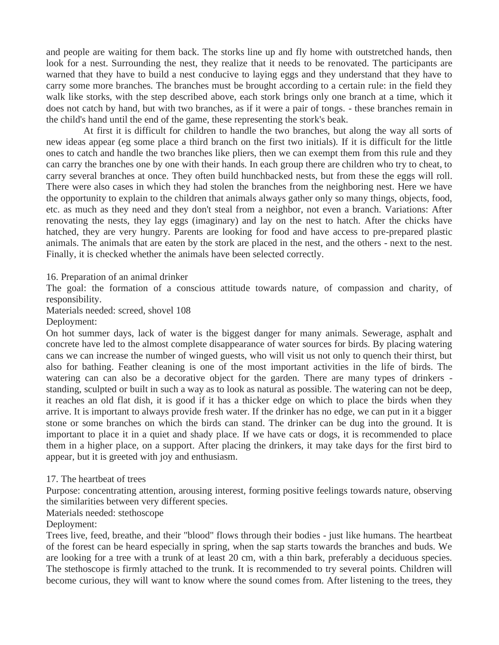and people are waiting for them back. The storks line up and fly home with outstretched hands, then look for a nest. Surrounding the nest, they realize that it needs to be renovated. The participants are warned that they have to build a nest conducive to laying eggs and they understand that they have to carry some more branches. The branches must be brought according to a certain rule: in the field they walk like storks, with the step described above, each stork brings only one branch at a time, which it does not catch by hand, but with two branches, as if it were a pair of tongs. - these branches remain in the child's hand until the end of the game, these representing the stork's beak.

At first it is difficult for children to handle the two branches, but along the way all sorts of new ideas appear (eg some place a third branch on the first two initials). If it is difficult for the little ones to catch and handle the two branches like pliers, then we can exempt them from this rule and they can carry the branches one by one with their hands. In each group there are children who try to cheat, to carry several branches at once. They often build hunchbacked nests, but from these the eggs will roll. There were also cases in which they had stolen the branches from the neighboring nest. Here we have the opportunity to explain to the children that animals always gather only so many things, objects, food, etc. as much as they need and they don't steal from a neighbor, not even a branch. Variations: After renovating the nests, they lay eggs (imaginary) and lay on the nest to hatch. After the chicks have hatched, they are very hungry. Parents are looking for food and have access to pre-prepared plastic animals. The animals that are eaten by the stork are placed in the nest, and the others - next to the nest. Finally, it is checked whether the animals have been selected correctly.

16. Preparation of an animal drinker

The goal: the formation of a conscious attitude towards nature, of compassion and charity, of responsibility.

Materials needed: screed, shovel 108

Deployment:

On hot summer days, lack of water is the biggest danger for many animals. Sewerage, asphalt and concrete have led to the almost complete disappearance of water sources for birds. By placing watering cans we can increase the number of winged guests, who will visit us not only to quench their thirst, but also for bathing. Feather cleaning is one of the most important activities in the life of birds. The watering can can also be a decorative object for the garden. There are many types of drinkers standing, sculpted or built in such a way as to look as natural as possible. The watering can not be deep, it reaches an old flat dish, it is good if it has a thicker edge on which to place the birds when they arrive. It is important to always provide fresh water. If the drinker has no edge, we can put in it a bigger stone or some branches on which the birds can stand. The drinker can be dug into the ground. It is important to place it in a quiet and shady place. If we have cats or dogs, it is recommended to place them in a higher place, on a support. After placing the drinkers, it may take days for the first bird to appear, but it is greeted with joy and enthusiasm.

#### 17. The heartbeat of trees

Purpose: concentrating attention, arousing interest, forming positive feelings towards nature, observing the similarities between very different species.

Materials needed: stethoscope

Deployment:

Trees live, feed, breathe, and their "blood" flows through their bodies - just like humans. The heartbeat of the forest can be heard especially in spring, when the sap starts towards the branches and buds. We are looking for a tree with a trunk of at least 20 cm, with a thin bark, preferably a deciduous species. The stethoscope is firmly attached to the trunk. It is recommended to try several points. Children will become curious, they will want to know where the sound comes from. After listening to the trees, they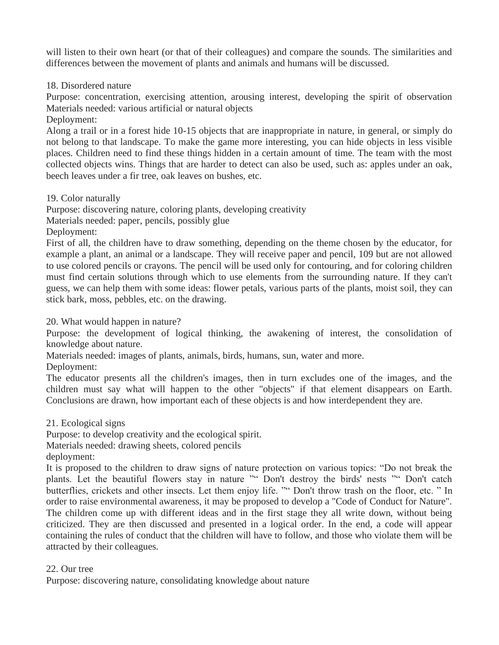will listen to their own heart (or that of their colleagues) and compare the sounds. The similarities and differences between the movement of plants and animals and humans will be discussed.

18. Disordered nature

Purpose: concentration, exercising attention, arousing interest, developing the spirit of observation Materials needed: various artificial or natural objects

Deployment:

Along a trail or in a forest hide 10-15 objects that are inappropriate in nature, in general, or simply do not belong to that landscape. To make the game more interesting, you can hide objects in less visible places. Children need to find these things hidden in a certain amount of time. The team with the most collected objects wins. Things that are harder to detect can also be used, such as: apples under an oak, beech leaves under a fir tree, oak leaves on bushes, etc.

19. Color naturally

Purpose: discovering nature, coloring plants, developing creativity

Materials needed: paper, pencils, possibly glue

Deployment:

First of all, the children have to draw something, depending on the theme chosen by the educator, for example a plant, an animal or a landscape. They will receive paper and pencil, 109 but are not allowed to use colored pencils or crayons. The pencil will be used only for contouring, and for coloring children must find certain solutions through which to use elements from the surrounding nature. If they can't guess, we can help them with some ideas: flower petals, various parts of the plants, moist soil, they can stick bark, moss, pebbles, etc. on the drawing.

20. What would happen in nature?

Purpose: the development of logical thinking, the awakening of interest, the consolidation of knowledge about nature.

Materials needed: images of plants, animals, birds, humans, sun, water and more.

Deployment:

The educator presents all the children's images, then in turn excludes one of the images, and the children must say what will happen to the other "objects" if that element disappears on Earth. Conclusions are drawn, how important each of these objects is and how interdependent they are.

21. Ecological signs

Purpose: to develop creativity and the ecological spirit.

Materials needed: drawing sheets, colored pencils

deployment:

It is proposed to the children to draw signs of nature protection on various topics: "Do not break the plants. Let the beautiful flowers stay in nature "" Don't destroy the birds' nests "" Don't catch butterflies, crickets and other insects. Let them enjoy life. "" Don't throw trash on the floor, etc. " In order to raise environmental awareness, it may be proposed to develop a "Code of Conduct for Nature". The children come up with different ideas and in the first stage they all write down, without being criticized. They are then discussed and presented in a logical order. In the end, a code will appear containing the rules of conduct that the children will have to follow, and those who violate them will be attracted by their colleagues.

# 22. Our tree

Purpose: discovering nature, consolidating knowledge about nature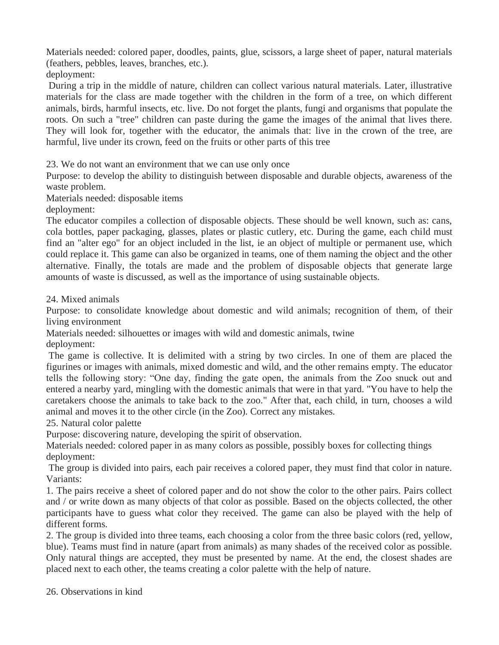Materials needed: colored paper, doodles, paints, glue, scissors, a large sheet of paper, natural materials (feathers, pebbles, leaves, branches, etc.).

deployment:

During a trip in the middle of nature, children can collect various natural materials. Later, illustrative materials for the class are made together with the children in the form of a tree, on which different animals, birds, harmful insects, etc. live. Do not forget the plants, fungi and organisms that populate the roots. On such a "tree" children can paste during the game the images of the animal that lives there. They will look for, together with the educator, the animals that: live in the crown of the tree, are harmful, live under its crown, feed on the fruits or other parts of this tree

23. We do not want an environment that we can use only once

Purpose: to develop the ability to distinguish between disposable and durable objects, awareness of the waste problem.

Materials needed: disposable items

deployment:

The educator compiles a collection of disposable objects. These should be well known, such as: cans, cola bottles, paper packaging, glasses, plates or plastic cutlery, etc. During the game, each child must find an "alter ego" for an object included in the list, ie an object of multiple or permanent use, which could replace it. This game can also be organized in teams, one of them naming the object and the other alternative. Finally, the totals are made and the problem of disposable objects that generate large amounts of waste is discussed, as well as the importance of using sustainable objects.

24. Mixed animals

Purpose: to consolidate knowledge about domestic and wild animals; recognition of them, of their living environment

Materials needed: silhouettes or images with wild and domestic animals, twine

deployment:

The game is collective. It is delimited with a string by two circles. In one of them are placed the figurines or images with animals, mixed domestic and wild, and the other remains empty. The educator tells the following story: "One day, finding the gate open, the animals from the Zoo snuck out and entered a nearby yard, mingling with the domestic animals that were in that yard. "You have to help the caretakers choose the animals to take back to the zoo." After that, each child, in turn, chooses a wild animal and moves it to the other circle (in the Zoo). Correct any mistakes.

25. Natural color palette

Purpose: discovering nature, developing the spirit of observation.

Materials needed: colored paper in as many colors as possible, possibly boxes for collecting things deployment:

The group is divided into pairs, each pair receives a colored paper, they must find that color in nature. Variants:

1. The pairs receive a sheet of colored paper and do not show the color to the other pairs. Pairs collect and / or write down as many objects of that color as possible. Based on the objects collected, the other participants have to guess what color they received. The game can also be played with the help of different forms.

2. The group is divided into three teams, each choosing a color from the three basic colors (red, yellow, blue). Teams must find in nature (apart from animals) as many shades of the received color as possible. Only natural things are accepted, they must be presented by name. At the end, the closest shades are placed next to each other, the teams creating a color palette with the help of nature.

26. Observations in kind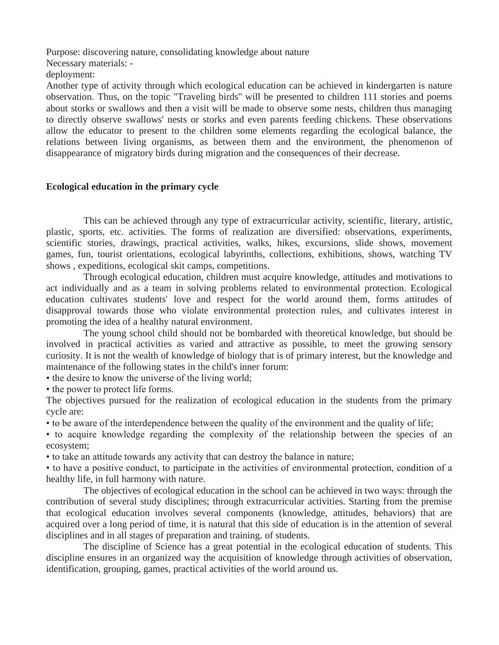Purpose: discovering nature, consolidating knowledge about nature Necessary materials: deployment:

Another type of activity through which ecological education can be achieved in kindergarten is nature observation. Thus, on the topic "Traveling birds" will be presented to children 111 stories and poems about storks or swallows and then a visit will be made to observe some nests, children thus managing to directly observe swallows' nests or storks and even parents feeding chickens. These observations allow the educator to present to the children some elements regarding the ecological balance, the relations between living organisms, as between them and the environment, the phenomenon of disappearance of migratory birds during migration and the consequences of their decrease.

## **Ecological education in the primary cycle**

This can be achieved through any type of extracurricular activity, scientific, literary, artistic, plastic, sports, etc. activities. The forms of realization are diversified: observations, experiments, scientific stories, drawings, practical activities, walks, hikes, excursions, slide shows, movement games, fun, tourist orientations, ecological labyrinths, collections, exhibitions, shows, watching TV shows , expeditions, ecological skit camps, competitions.

Through ecological education, children must acquire knowledge, attitudes and motivations to act individually and as a team in solving problems related to environmental protection. Ecological education cultivates students' love and respect for the world around them, forms attitudes of disapproval towards those who violate environmental protection rules, and cultivates interest in promoting the idea of a healthy natural environment.

The young school child should not be bombarded with theoretical knowledge, but should be involved in practical activities as varied and attractive as possible, to meet the growing sensory curiosity. It is not the wealth of knowledge of biology that is of primary interest, but the knowledge and maintenance of the following states in the child's inner forum:

• the desire to know the universe of the living world;

• the power to protect life forms.

The objectives pursued for the realization of ecological education in the students from the primary cycle are:

• to be aware of the interdependence between the quality of the environment and the quality of life;

• to acquire knowledge regarding the complexity of the relationship between the species of an ecosystem;

• to take an attitude towards any activity that can destroy the balance in nature;

• to have a positive conduct, to participate in the activities of environmental protection, condition of a healthy life, in full harmony with nature.

The objectives of ecological education in the school can be achieved in two ways: through the contribution of several study disciplines; through extracurricular activities. Starting from the premise that ecological education involves several components (knowledge, attitudes, behaviors) that are acquired over a long period of time, it is natural that this side of education is in the attention of several disciplines and in all stages of preparation and training. of students.

The discipline of Science has a great potential in the ecological education of students. This discipline ensures in an organized way the acquisition of knowledge through activities of observation, identification, grouping, games, practical activities of the world around us.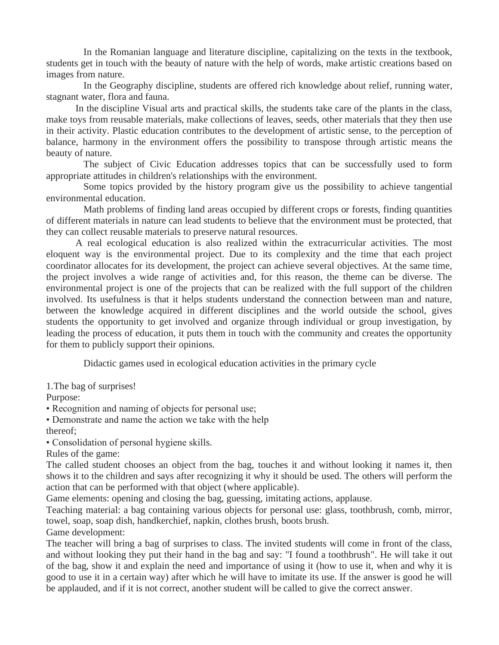In the Romanian language and literature discipline, capitalizing on the texts in the textbook, students get in touch with the beauty of nature with the help of words, make artistic creations based on images from nature.

In the Geography discipline, students are offered rich knowledge about relief, running water, stagnant water, flora and fauna.

In the discipline Visual arts and practical skills, the students take care of the plants in the class, make toys from reusable materials, make collections of leaves, seeds, other materials that they then use in their activity. Plastic education contributes to the development of artistic sense, to the perception of balance, harmony in the environment offers the possibility to transpose through artistic means the beauty of nature.

The subject of Civic Education addresses topics that can be successfully used to form appropriate attitudes in children's relationships with the environment.

Some topics provided by the history program give us the possibility to achieve tangential environmental education.

Math problems of finding land areas occupied by different crops or forests, finding quantities of different materials in nature can lead students to believe that the environment must be protected, that they can collect reusable materials to preserve natural resources.

A real ecological education is also realized within the extracurricular activities. The most eloquent way is the environmental project. Due to its complexity and the time that each project coordinator allocates for its development, the project can achieve several objectives. At the same time, the project involves a wide range of activities and, for this reason, the theme can be diverse. The environmental project is one of the projects that can be realized with the full support of the children involved. Its usefulness is that it helps students understand the connection between man and nature, between the knowledge acquired in different disciplines and the world outside the school, gives students the opportunity to get involved and organize through individual or group investigation, by leading the process of education, it puts them in touch with the community and creates the opportunity for them to publicly support their opinions.

Didactic games used in ecological education activities in the primary cycle

1.The bag of surprises!

Purpose:

• Recognition and naming of objects for personal use;

• Demonstrate and name the action we take with the help

thereof;

• Consolidation of personal hygiene skills.

Rules of the game:

The called student chooses an object from the bag, touches it and without looking it names it, then shows it to the children and says after recognizing it why it should be used. The others will perform the action that can be performed with that object (where applicable).

Game elements: opening and closing the bag, guessing, imitating actions, applause.

Teaching material: a bag containing various objects for personal use: glass, toothbrush, comb, mirror, towel, soap, soap dish, handkerchief, napkin, clothes brush, boots brush.

Game development:

The teacher will bring a bag of surprises to class. The invited students will come in front of the class, and without looking they put their hand in the bag and say: "I found a toothbrush". He will take it out of the bag, show it and explain the need and importance of using it (how to use it, when and why it is good to use it in a certain way) after which he will have to imitate its use. If the answer is good he will be applauded, and if it is not correct, another student will be called to give the correct answer.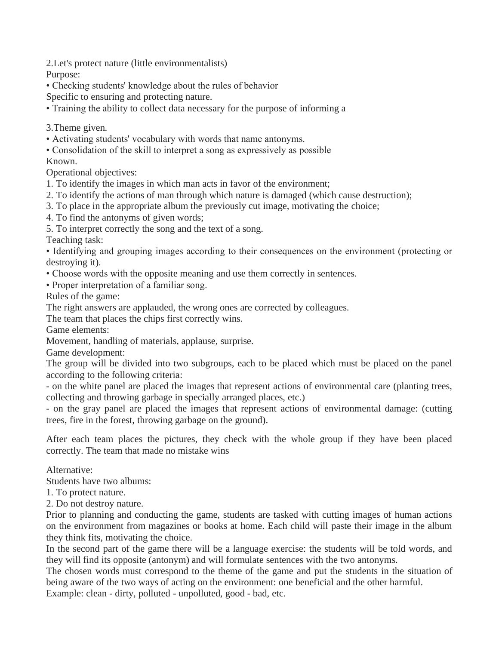2.Let's protect nature (little environmentalists)

Purpose:

• Checking students' knowledge about the rules of behavior

Specific to ensuring and protecting nature.

• Training the ability to collect data necessary for the purpose of informing a

3.Theme given.

- Activating students' vocabulary with words that name antonyms.
- Consolidation of the skill to interpret a song as expressively as possible

Known.

Operational objectives:

- 1. To identify the images in which man acts in favor of the environment;
- 2. To identify the actions of man through which nature is damaged (which cause destruction);
- 3. To place in the appropriate album the previously cut image, motivating the choice;
- 4. To find the antonyms of given words;
- 5. To interpret correctly the song and the text of a song.

Teaching task:

• Identifying and grouping images according to their consequences on the environment (protecting or destroying it).

- Choose words with the opposite meaning and use them correctly in sentences.
- Proper interpretation of a familiar song.

Rules of the game:

The right answers are applauded, the wrong ones are corrected by colleagues.

The team that places the chips first correctly wins.

Game elements:

Movement, handling of materials, applause, surprise.

Game development:

The group will be divided into two subgroups, each to be placed which must be placed on the panel according to the following criteria:

- on the white panel are placed the images that represent actions of environmental care (planting trees, collecting and throwing garbage in specially arranged places, etc.)

- on the gray panel are placed the images that represent actions of environmental damage: (cutting trees, fire in the forest, throwing garbage on the ground).

After each team places the pictures, they check with the whole group if they have been placed correctly. The team that made no mistake wins

Alternative:

Students have two albums:

- 1. To protect nature.
- 2. Do not destroy nature.

Prior to planning and conducting the game, students are tasked with cutting images of human actions on the environment from magazines or books at home. Each child will paste their image in the album they think fits, motivating the choice.

In the second part of the game there will be a language exercise: the students will be told words, and they will find its opposite (antonym) and will formulate sentences with the two antonyms.

The chosen words must correspond to the theme of the game and put the students in the situation of being aware of the two ways of acting on the environment: one beneficial and the other harmful.

Example: clean - dirty, polluted - unpolluted, good - bad, etc.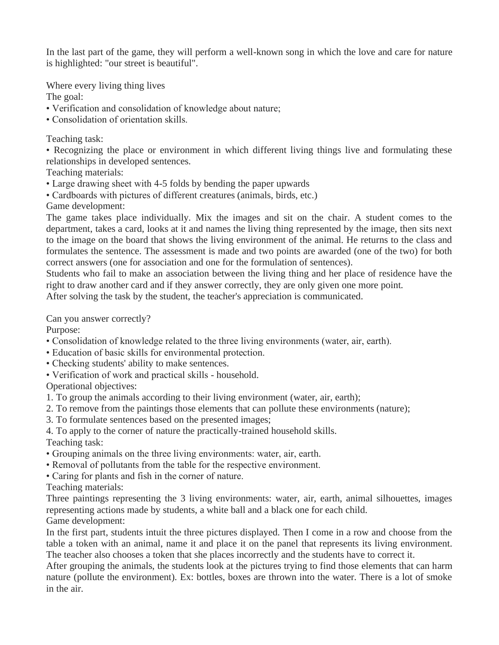In the last part of the game, they will perform a well-known song in which the love and care for nature is highlighted: "our street is beautiful".

Where every living thing lives

The goal:

- Verification and consolidation of knowledge about nature;
- Consolidation of orientation skills.

# Teaching task:

• Recognizing the place or environment in which different living things live and formulating these relationships in developed sentences.

Teaching materials:

- Large drawing sheet with 4-5 folds by bending the paper upwards
- Cardboards with pictures of different creatures (animals, birds, etc.)

Game development:

The game takes place individually. Mix the images and sit on the chair. A student comes to the department, takes a card, looks at it and names the living thing represented by the image, then sits next to the image on the board that shows the living environment of the animal. He returns to the class and formulates the sentence. The assessment is made and two points are awarded (one of the two) for both correct answers (one for association and one for the formulation of sentences).

Students who fail to make an association between the living thing and her place of residence have the right to draw another card and if they answer correctly, they are only given one more point.

After solving the task by the student, the teacher's appreciation is communicated.

Can you answer correctly?

Purpose:

- Consolidation of knowledge related to the three living environments (water, air, earth).
- Education of basic skills for environmental protection.
- Checking students' ability to make sentences.
- Verification of work and practical skills household.

Operational objectives:

- 1. To group the animals according to their living environment (water, air, earth);
- 2. To remove from the paintings those elements that can pollute these environments (nature);
- 3. To formulate sentences based on the presented images;
- 4. To apply to the corner of nature the practically-trained household skills.

Teaching task:

- Grouping animals on the three living environments: water, air, earth.
- Removal of pollutants from the table for the respective environment.
- Caring for plants and fish in the corner of nature.

Teaching materials:

Three paintings representing the 3 living environments: water, air, earth, animal silhouettes, images representing actions made by students, a white ball and a black one for each child. Game development:

In the first part, students intuit the three pictures displayed. Then I come in a row and choose from the table a token with an animal, name it and place it on the panel that represents its living environment. The teacher also chooses a token that she places incorrectly and the students have to correct it.

After grouping the animals, the students look at the pictures trying to find those elements that can harm nature (pollute the environment). Ex: bottles, boxes are thrown into the water. There is a lot of smoke in the air.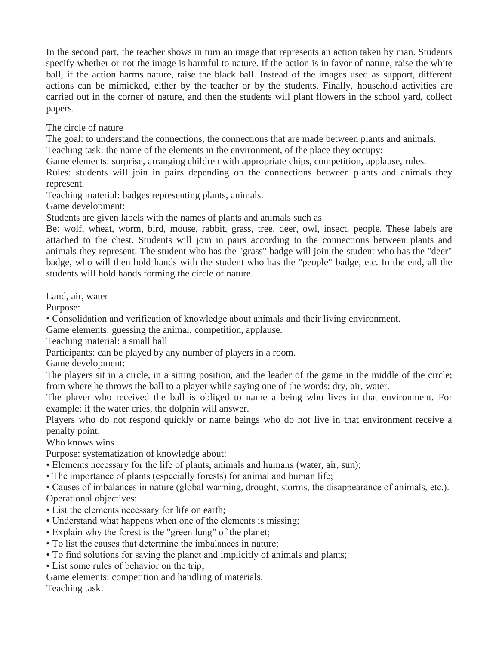In the second part, the teacher shows in turn an image that represents an action taken by man. Students specify whether or not the image is harmful to nature. If the action is in favor of nature, raise the white ball, if the action harms nature, raise the black ball. Instead of the images used as support, different actions can be mimicked, either by the teacher or by the students. Finally, household activities are carried out in the corner of nature, and then the students will plant flowers in the school yard, collect papers.

The circle of nature

The goal: to understand the connections, the connections that are made between plants and animals.

Teaching task: the name of the elements in the environment, of the place they occupy;

Game elements: surprise, arranging children with appropriate chips, competition, applause, rules.

Rules: students will join in pairs depending on the connections between plants and animals they represent.

Teaching material: badges representing plants, animals.

Game development:

Students are given labels with the names of plants and animals such as

Be: wolf, wheat, worm, bird, mouse, rabbit, grass, tree, deer, owl, insect, people. These labels are attached to the chest. Students will join in pairs according to the connections between plants and animals they represent. The student who has the "grass" badge will join the student who has the "deer" badge, who will then hold hands with the student who has the "people" badge, etc. In the end, all the students will hold hands forming the circle of nature.

Land, air, water

Purpose:

• Consolidation and verification of knowledge about animals and their living environment.

Game elements: guessing the animal, competition, applause.

Teaching material: a small ball

Participants: can be played by any number of players in a room.

Game development:

The players sit in a circle, in a sitting position, and the leader of the game in the middle of the circle; from where he throws the ball to a player while saying one of the words: dry, air, water.

The player who received the ball is obliged to name a being who lives in that environment. For example: if the water cries, the dolphin will answer.

Players who do not respond quickly or name beings who do not live in that environment receive a penalty point.

Who knows wins

Purpose: systematization of knowledge about:

- Elements necessary for the life of plants, animals and humans (water, air, sun);
- The importance of plants (especially forests) for animal and human life;

• Causes of imbalances in nature (global warming, drought, storms, the disappearance of animals, etc.). Operational objectives:

- List the elements necessary for life on earth;
- Understand what happens when one of the elements is missing;
- Explain why the forest is the "green lung" of the planet;
- To list the causes that determine the imbalances in nature;
- To find solutions for saving the planet and implicitly of animals and plants;
- List some rules of behavior on the trip;

Game elements: competition and handling of materials. Teaching task: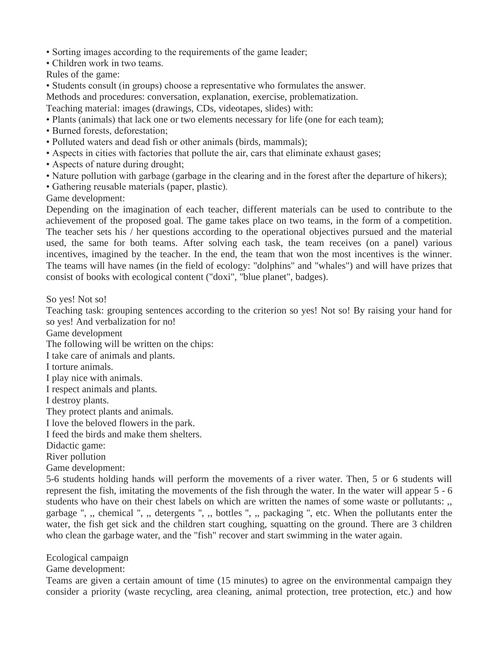- Sorting images according to the requirements of the game leader;
- Children work in two teams.

Rules of the game:

• Students consult (in groups) choose a representative who formulates the answer.

Methods and procedures: conversation, explanation, exercise, problematization.

Teaching material: images (drawings, CDs, videotapes, slides) with:

- Plants (animals) that lack one or two elements necessary for life (one for each team);
- Burned forests, deforestation;
- Polluted waters and dead fish or other animals (birds, mammals);
- Aspects in cities with factories that pollute the air, cars that eliminate exhaust gases;
- Aspects of nature during drought;
- Nature pollution with garbage (garbage in the clearing and in the forest after the departure of hikers);
- Gathering reusable materials (paper, plastic).

Game development:

Depending on the imagination of each teacher, different materials can be used to contribute to the achievement of the proposed goal. The game takes place on two teams, in the form of a competition. The teacher sets his / her questions according to the operational objectives pursued and the material used, the same for both teams. After solving each task, the team receives (on a panel) various incentives, imagined by the teacher. In the end, the team that won the most incentives is the winner. The teams will have names (in the field of ecology: "dolphins" and "whales") and will have prizes that consist of books with ecological content ("doxi", "blue planet", badges).

So yes! Not so!

Teaching task: grouping sentences according to the criterion so yes! Not so! By raising your hand for so yes! And verbalization for no!

Game development

The following will be written on the chips:

I take care of animals and plants.

I torture animals.

I play nice with animals.

I respect animals and plants.

I destroy plants.

They protect plants and animals.

I love the beloved flowers in the park.

I feed the birds and make them shelters.

Didactic game:

River pollution

Game development:

5-6 students holding hands will perform the movements of a river water. Then, 5 or 6 students will represent the fish, imitating the movements of the fish through the water. In the water will appear 5 - 6 students who have on their chest labels on which are written the names of some waste or pollutants: ,, garbage ", ,, chemical ", ,, detergents ", ,, bottles ", ,, packaging ", etc. When the pollutants enter the water, the fish get sick and the children start coughing, squatting on the ground. There are 3 children who clean the garbage water, and the "fish" recover and start swimming in the water again.

Ecological campaign

Game development:

Teams are given a certain amount of time (15 minutes) to agree on the environmental campaign they consider a priority (waste recycling, area cleaning, animal protection, tree protection, etc.) and how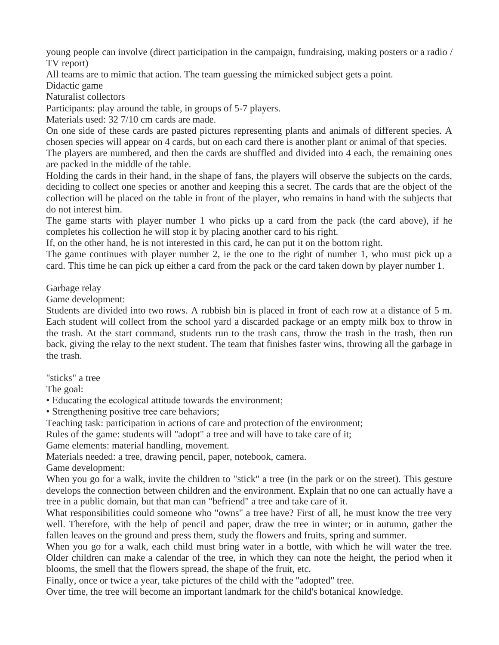young people can involve (direct participation in the campaign, fundraising, making posters or a radio / TV report)

All teams are to mimic that action. The team guessing the mimicked subject gets a point.

Didactic game

Naturalist collectors

Participants: play around the table, in groups of 5-7 players.

Materials used: 32 7/10 cm cards are made.

On one side of these cards are pasted pictures representing plants and animals of different species. A chosen species will appear on 4 cards, but on each card there is another plant or animal of that species.

The players are numbered, and then the cards are shuffled and divided into 4 each, the remaining ones are packed in the middle of the table.

Holding the cards in their hand, in the shape of fans, the players will observe the subjects on the cards, deciding to collect one species or another and keeping this a secret. The cards that are the object of the collection will be placed on the table in front of the player, who remains in hand with the subjects that do not interest him.

The game starts with player number 1 who picks up a card from the pack (the card above), if he completes his collection he will stop it by placing another card to his right.

If, on the other hand, he is not interested in this card, he can put it on the bottom right.

The game continues with player number 2, ie the one to the right of number 1, who must pick up a card. This time he can pick up either a card from the pack or the card taken down by player number 1.

Garbage relay

Game development:

Students are divided into two rows. A rubbish bin is placed in front of each row at a distance of 5 m. Each student will collect from the school yard a discarded package or an empty milk box to throw in the trash. At the start command, students run to the trash cans, throw the trash in the trash, then run back, giving the relay to the next student. The team that finishes faster wins, throwing all the garbage in the trash.

"sticks" a tree

The goal:

• Educating the ecological attitude towards the environment;

• Strengthening positive tree care behaviors;

Teaching task: participation in actions of care and protection of the environment;

Rules of the game: students will "adopt" a tree and will have to take care of it;

Game elements: material handling, movement.

Materials needed: a tree, drawing pencil, paper, notebook, camera.

Game development:

When you go for a walk, invite the children to "stick" a tree (in the park or on the street). This gesture develops the connection between children and the environment. Explain that no one can actually have a tree in a public domain, but that man can "befriend" a tree and take care of it.

What responsibilities could someone who "owns" a tree have? First of all, he must know the tree very well. Therefore, with the help of pencil and paper, draw the tree in winter; or in autumn, gather the fallen leaves on the ground and press them, study the flowers and fruits, spring and summer.

When you go for a walk, each child must bring water in a bottle, with which he will water the tree. Older children can make a calendar of the tree, in which they can note the height, the period when it blooms, the smell that the flowers spread, the shape of the fruit, etc.

Finally, once or twice a year, take pictures of the child with the "adopted" tree.

Over time, the tree will become an important landmark for the child's botanical knowledge.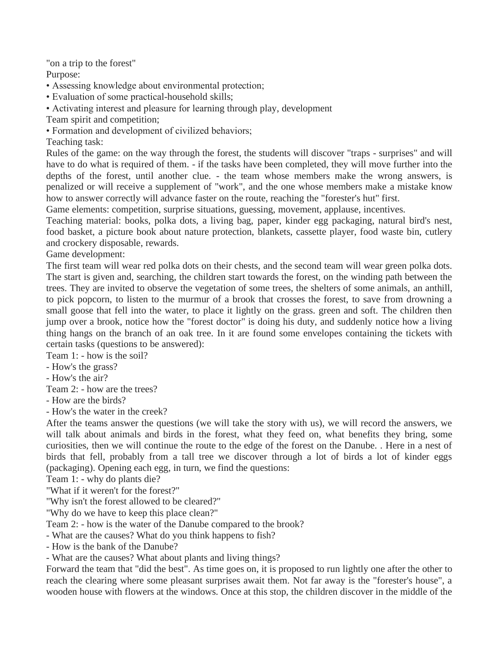"on a trip to the forest"

Purpose:

• Assessing knowledge about environmental protection;

• Evaluation of some practical-household skills;

• Activating interest and pleasure for learning through play, development

Team spirit and competition;

• Formation and development of civilized behaviors;

Teaching task:

Rules of the game: on the way through the forest, the students will discover "traps - surprises" and will have to do what is required of them. - if the tasks have been completed, they will move further into the depths of the forest, until another clue. - the team whose members make the wrong answers, is penalized or will receive a supplement of "work", and the one whose members make a mistake know how to answer correctly will advance faster on the route, reaching the "forester's hut" first.

Game elements: competition, surprise situations, guessing, movement, applause, incentives.

Teaching material: books, polka dots, a living bag, paper, kinder egg packaging, natural bird's nest, food basket, a picture book about nature protection, blankets, cassette player, food waste bin, cutlery and crockery disposable, rewards.

Game development:

The first team will wear red polka dots on their chests, and the second team will wear green polka dots. The start is given and, searching, the children start towards the forest, on the winding path between the trees. They are invited to observe the vegetation of some trees, the shelters of some animals, an anthill, to pick popcorn, to listen to the murmur of a brook that crosses the forest, to save from drowning a small goose that fell into the water, to place it lightly on the grass. green and soft. The children then jump over a brook, notice how the "forest doctor" is doing his duty, and suddenly notice how a living thing hangs on the branch of an oak tree. In it are found some envelopes containing the tickets with certain tasks (questions to be answered):

Team 1: - how is the soil?

- How's the grass?

- How's the air?

Team 2: - how are the trees?

- How are the birds?

- How's the water in the creek?

After the teams answer the questions (we will take the story with us), we will record the answers, we will talk about animals and birds in the forest, what they feed on, what benefits they bring, some curiosities, then we will continue the route to the edge of the forest on the Danube. . Here in a nest of birds that fell, probably from a tall tree we discover through a lot of birds a lot of kinder eggs (packaging). Opening each egg, in turn, we find the questions:

Team 1: - why do plants die?

"What if it weren't for the forest?"

"Why isn't the forest allowed to be cleared?"

"Why do we have to keep this place clean?"

Team 2: - how is the water of the Danube compared to the brook?

- What are the causes? What do you think happens to fish?

- How is the bank of the Danube?

- What are the causes? What about plants and living things?

Forward the team that "did the best". As time goes on, it is proposed to run lightly one after the other to reach the clearing where some pleasant surprises await them. Not far away is the "forester's house", a wooden house with flowers at the windows. Once at this stop, the children discover in the middle of the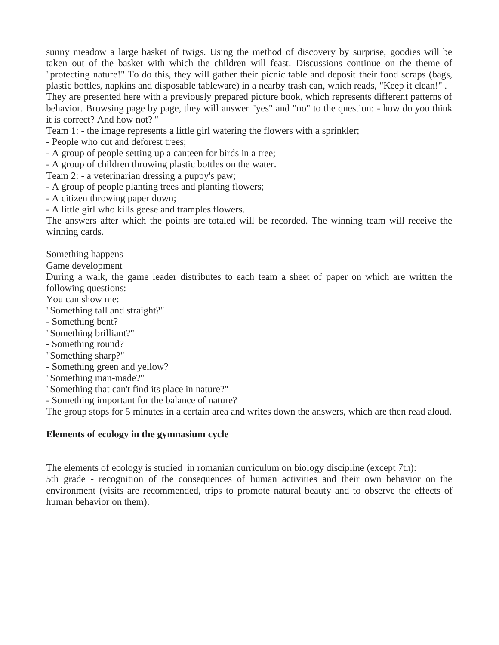sunny meadow a large basket of twigs. Using the method of discovery by surprise, goodies will be taken out of the basket with which the children will feast. Discussions continue on the theme of "protecting nature!" To do this, they will gather their picnic table and deposit their food scraps (bags, plastic bottles, napkins and disposable tableware) in a nearby trash can, which reads, "Keep it clean!" . They are presented here with a previously prepared picture book, which represents different patterns of behavior. Browsing page by page, they will answer "yes" and "no" to the question: - how do you think it is correct? And how not? ''

Team 1: - the image represents a little girl watering the flowers with a sprinkler;

- People who cut and deforest trees;

- A group of people setting up a canteen for birds in a tree;

- A group of children throwing plastic bottles on the water.

Team 2: - a veterinarian dressing a puppy's paw;

- A group of people planting trees and planting flowers;

- A citizen throwing paper down;

- A little girl who kills geese and tramples flowers.

The answers after which the points are totaled will be recorded. The winning team will receive the winning cards.

Something happens

Game development

During a walk, the game leader distributes to each team a sheet of paper on which are written the following questions:

You can show me:

"Something tall and straight?"

- Something bent?
- "Something brilliant?"

- Something round?

- "Something sharp?"
- Something green and yellow?

"Something man-made?"

"Something that can't find its place in nature?"

- Something important for the balance of nature?

The group stops for 5 minutes in a certain area and writes down the answers, which are then read aloud.

## **Elements of ecology in the gymnasium cycle**

The elements of ecology is studied in romanian curriculum on biology discipline (except 7th): 5th grade - recognition of the consequences of human activities and their own behavior on the environment (visits are recommended, trips to promote natural beauty and to observe the effects of human behavior on them).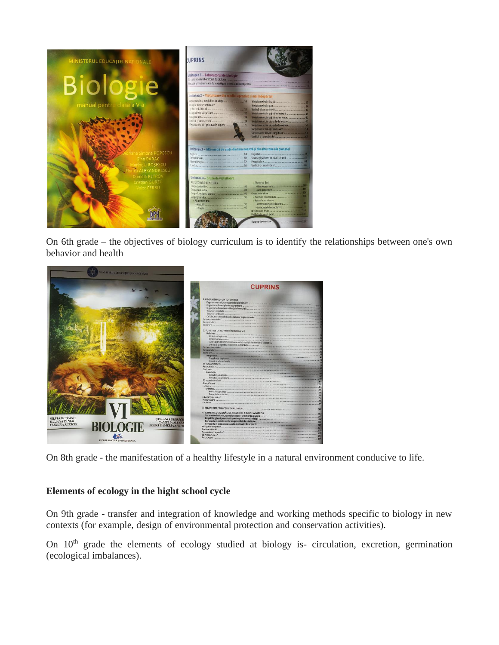

On 6th grade – the objectives of biology curriculum is to identify the relationships between one's own behavior and health



On 8th grade - the manifestation of a healthy lifestyle in a natural environment conducive to life.

# **Elements of ecology in the hight school cycle**

On 9th grade - transfer and integration of knowledge and working methods specific to biology in new contexts (for example, design of environmental protection and conservation activities).

On 10<sup>th</sup> grade the elements of ecology studied at biology is- circulation, excretion, germination (ecological imbalances).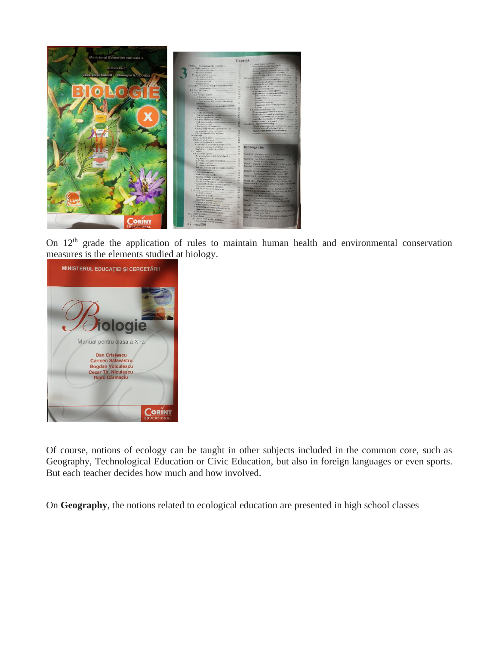

On 12<sup>th</sup> grade the application of rules to maintain human health and environmental conservation measures is the elements studied at biology.



Of course, notions of ecology can be taught in other subjects included in the common core, such as Geography, Technological Education or Civic Education, but also in foreign languages or even sports. But each teacher decides how much and how involved.

On **Geography**, the notions related to ecological education are presented in high school classes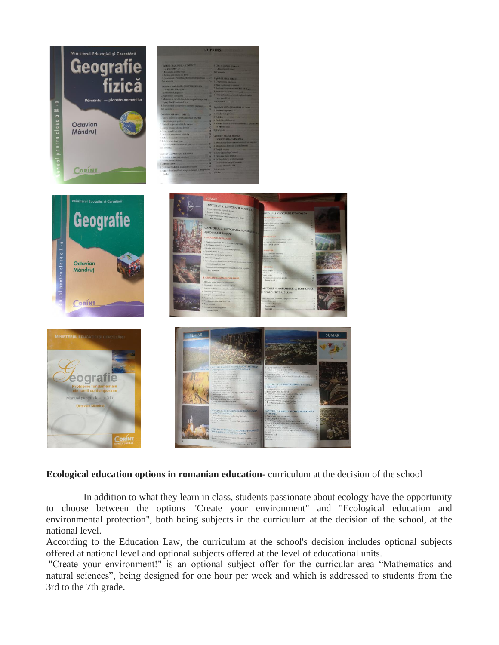

## **Ecological education options in romanian education-** curriculum at the decision of the school

In addition to what they learn in class, students passionate about ecology have the opportunity to choose between the options "Create your environment" and "Ecological education and environmental protection", both being subjects in the curriculum at the decision of the school, at the national level.

According to the Education Law, the curriculum at the school's decision includes optional subjects offered at national level and optional subjects offered at the level of educational units.

"Create your environment!" is an optional subject offer for the curricular area "Mathematics and natural sciences", being designed for one hour per week and which is addressed to students from the 3rd to the 7th grade.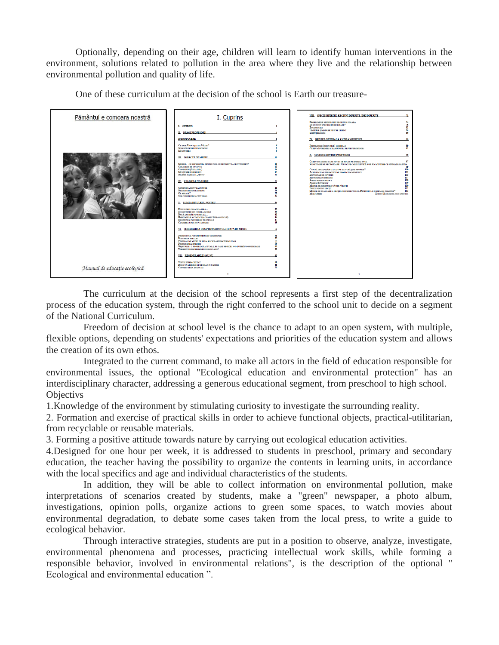Optionally, depending on their age, children will learn to identify human interventions in the environment, solutions related to pollution in the area where they live and the relationship between environmental pollution and quality of life.

One of these curriculum at the decision of the school is Earth our treasure-

| Pământul e comoara noastră   | I. Cuprins                                                             |                           | VIII. SPECII DIFERITE, REGIUNI DIFERITE, IDEI DIFERITE<br>73                                                                                       |
|------------------------------|------------------------------------------------------------------------|---------------------------|----------------------------------------------------------------------------------------------------------------------------------------------------|
|                              |                                                                        |                           | 74<br>PROBLEMELE MEDIULUI IN REGIUNEA POLARA<br><b>DE CE SUNT SPECILE PERICLITATE?</b><br>76                                                       |
|                              | L CUPRINS                                                              |                           | <b>ECOLOCATIA</b><br>81                                                                                                                            |
|                              | IL DRAGI PROFESORI!                                                    |                           | 83<br>LEGENDÀ SI ADEVÀR DESPRE LILIECI<br><b>SUBINTELESURE</b><br>86                                                                               |
|                              |                                                                        |                           |                                                                                                                                                    |
|                              | <b>INTRODUCERE</b>                                                     |                           | IX. PRIVIRE GENERALĂ ASUPRA MEDIULUI                                                                                                               |
|                              | <b>CE ESTE EDUCATIA DE MEDIU?</b>                                      |                           | PRIMEJDILE (RISCURILE) MEDIULUI<br>89                                                                                                              |
|                              | <b>SUGESTEI PENTRU PROFESORI</b><br><b>MULTUMBEI</b>                   |                           | CĂTEVA ÎNTREBÂRI ȘI RĂSPUNSURI PENTRU PROFESOR:<br>$^{91}$                                                                                         |
|                              |                                                                        |                           | X SUGESTII PENTRU PROFESORI<br>96                                                                                                                  |
|                              | <b>III. IMPACTE DE MEDIU</b>                                           | 10                        |                                                                                                                                                    |
|                              | MEDIUL - CE REPREZINTA PENTRU NOL CE DEFINENTE ACEST TERMEN?           | n                         | CATEVA SUGESTII CARE POT FI DE FOLOS PE INTREG ANUL<br>97<br>VÁNÁTOARE DE NECROFOARE: UN JOC PE CARE ELEVII È, VOR JUCA ÎN TIMP CE STUDIAZĂ NATURA |
|                              | <b>CULEGERE DE CUVINTE</b>                                             | 13                        | $^{00}$                                                                                                                                            |
|                              | <b>CONEXEUNI (LEGATURI)</b>                                            | 14                        | 100<br>CUM SĂ ORGANIZĂM O ACȚIUNE DE CURÂȚIRE PROPRIE?                                                                                             |
|                              | <b>MULTUMBEE MEDIULUI</b>                                              | 17                        | 102<br><b>ACTIVITATI ALTERNATIVE DE PROTECTIA MEDIULUI</b>                                                                                         |
|                              | DILEMA MARELUI "PESTE"                                                 | 20                        | 105<br><b>DICTIONAR DE CUVINTE</b>                                                                                                                 |
|                              |                                                                        |                           | 107<br><b>MATERIALE NECESARE</b>                                                                                                                   |
|                              | IV. VALORILE NOASTRE                                                   | $\boldsymbol{\mathit{n}}$ | 108<br><b>SURSE BIBLIOGRAFICE</b>                                                                                                                  |
|                              |                                                                        |                           | <b>ADRESE INTERNET</b><br>109<br>110                                                                                                               |
|                              | <b>COMPORTAMENT DÄUNÄTOR</b>                                           | 23                        | <b>MODEL DE SCRISOARE CÂTRE PÂRINTI</b><br>111<br><b>INDEX PENTRU LECTII</b>                                                                       |
|                              | <b>DEZBATERI DESPRE MEDIU</b>                                          | 26                        | MODEL DE EVALUARE A LECTILOR PROIECTULUI "PÂMÂNTUL E COMOARA NOASTRÂ"<br>112                                                                       |
|                              | <b>CEALFACE?</b>                                                       | 28                        | Матромна<br><b>ERROR! BOOKMARK NOT DEFINED.</b>                                                                                                    |
|                              | <b>NOI CONSTRUIM ACEST ORAS</b>                                        | 37                        |                                                                                                                                                    |
|                              | V. LUMEA DIN JURUL NOSTRU                                              | 34                        |                                                                                                                                                    |
|                              | E NU NUMAI CASA NOASTRÂ                                                | 35                        |                                                                                                                                                    |
|                              | <b>ECOSISTEME DIN CURTEA SCOLII</b>                                    | 39                        |                                                                                                                                                    |
|                              | <b>DACÁ AM TRÁI PE O INSULA</b>                                        | 41                        |                                                                                                                                                    |
|                              | HABITATELE ACVATICE (ACVARIU INTR-O STICLA)                            | 44                        |                                                                                                                                                    |
|                              | <b>EROZRINEA PADURILOR TROPICALE</b>                                   | 47                        |                                                                                                                                                    |
|                              | <b>CLADIREA UNUI MUNTE MARET</b>                                       | 49                        |                                                                                                                                                    |
|                              | VI SCHIMBAREA COMPORTAMENTULUI FATÀ DE MEDIU                           | 52                        |                                                                                                                                                    |
|                              |                                                                        |                           |                                                                                                                                                    |
|                              | PROJECT: SÅ FACEM ORDINE SI CURÂTENIE!<br><b>POLUAREA APELOR</b>       | 53                        |                                                                                                                                                    |
|                              | FESTIVAL DE MEDIU PE TEMA RECICLARII MATERIALELOR                      | 55<br>57                  |                                                                                                                                                    |
|                              | <b>PRODUCEREA HARTIEL</b>                                              | 59                        |                                                                                                                                                    |
|                              | DESEURILE: O PROBLEMÁ ACTUALÁ, PE CARE DESEORI N-O LUÁM ÎN CONSIDERARE | 61                        |                                                                                                                                                    |
|                              | <b>VORBESTE DESCHIS DESPRE RECICLARE!</b>                              | 63                        |                                                                                                                                                    |
|                              | VIL REGENERABILE SAUNU                                                 | 65                        |                                                                                                                                                    |
|                              |                                                                        | 66                        |                                                                                                                                                    |
|                              | <b>TOTULE IMPACHETAT</b><br><b>DACA UN ARBORE E DOBORAT IN PADURE</b>  | 68                        |                                                                                                                                                    |
|                              | <b>CONSERVAREA ENERGIEI</b>                                            | 70                        |                                                                                                                                                    |
| Manual de educație ecologică |                                                                        |                           |                                                                                                                                                    |
|                              |                                                                        |                           |                                                                                                                                                    |
|                              |                                                                        |                           |                                                                                                                                                    |

The curriculum at the decision of the school represents a first step of the decentralization process of the education system, through the right conferred to the school unit to decide on a segment of the National Curriculum.

Freedom of decision at school level is the chance to adapt to an open system, with multiple, flexible options, depending on students' expectations and priorities of the education system and allows the creation of its own ethos.

Integrated to the current command, to make all actors in the field of education responsible for environmental issues, the optional "Ecological education and environmental protection" has an interdisciplinary character, addressing a generous educational segment, from preschool to high school. **Objectivs** 

1.Knowledge of the environment by stimulating curiosity to investigate the surrounding reality.

2. Formation and exercise of practical skills in order to achieve functional objects, practical-utilitarian, from recyclable or reusable materials.

3. Forming a positive attitude towards nature by carrying out ecological education activities.

4.Designed for one hour per week, it is addressed to students in preschool, primary and secondary education, the teacher having the possibility to organize the contents in learning units, in accordance with the local specifics and age and individual characteristics of the students.

In addition, they will be able to collect information on environmental pollution, make interpretations of scenarios created by students, make a "green" newspaper, a photo album, investigations, opinion polls, organize actions to green some spaces, to watch movies about environmental degradation, to debate some cases taken from the local press, to write a guide to ecological behavior.

Through interactive strategies, students are put in a position to observe, analyze, investigate, environmental phenomena and processes, practicing intellectual work skills, while forming a responsible behavior, involved in environmental relations", is the description of the optional " Ecological and environmental education ".